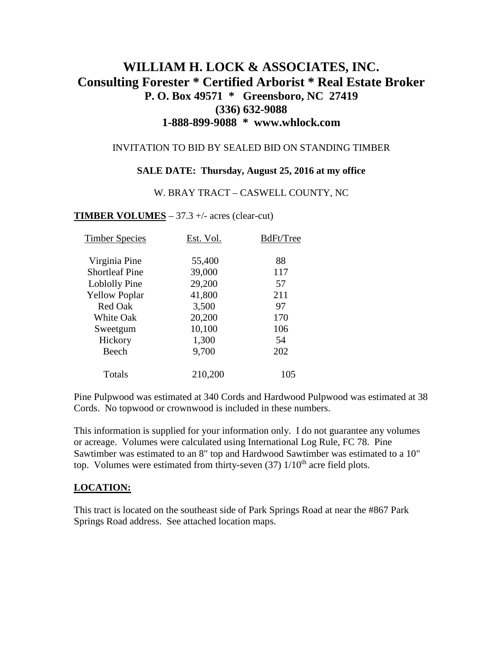# **WILLIAM H. LOCK & ASSOCIATES, INC. Consulting Forester \* Certified Arborist \* Real Estate Broker P. O. Box 49571 \* Greensboro, NC 27419 (336) 632-9088 1-888-899-9088 \* www.whlock.com**

### INVITATION TO BID BY SEALED BID ON STANDING TIMBER

### **SALE DATE: Thursday, August 25, 2016 at my office**

#### W. BRAY TRACT – CASWELL COUNTY, NC

### **TIMBER VOLUMES** – 37.3 +/- acres (clear-cut)

| <b>Timber Species</b> | Est. Vol. | BdFt/Tree |
|-----------------------|-----------|-----------|
| Virginia Pine         | 55,400    | 88        |
| <b>Shortleaf Pine</b> | 39,000    | 117       |
| Loblolly Pine         | 29,200    | 57        |
| <b>Yellow Poplar</b>  | 41,800    | 211       |
| <b>Red Oak</b>        | 3,500     | 97        |
| <b>White Oak</b>      | 20,200    | 170       |
| Sweetgum              | 10,100    | 106       |
| Hickory               | 1,300     | 54        |
| Beech                 | 9,700     | 202       |
| Totals                | 210,200   | 105       |

Pine Pulpwood was estimated at 340 Cords and Hardwood Pulpwood was estimated at 38 Cords. No topwood or crownwood is included in these numbers.

This information is supplied for your information only. I do not guarantee any volumes or acreage. Volumes were calculated using International Log Rule, FC 78. Pine Sawtimber was estimated to an 8" top and Hardwood Sawtimber was estimated to a 10" top. Volumes were estimated from thirty-seven  $(37)$   $1/10<sup>th</sup>$  acre field plots.

### **LOCATION:**

This tract is located on the southeast side of Park Springs Road at near the #867 Park Springs Road address. See attached location maps.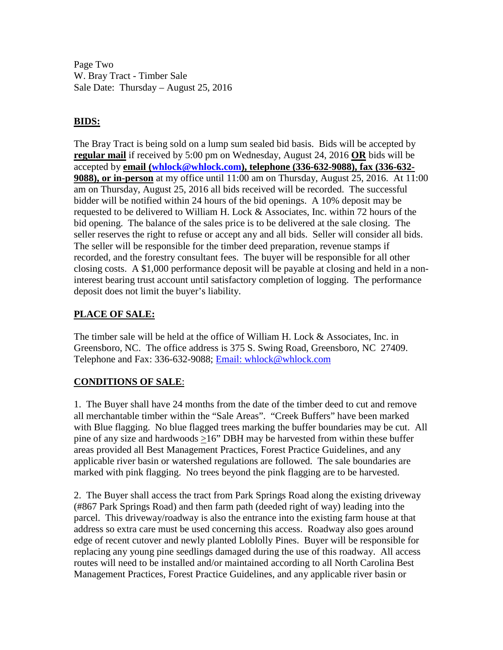Page Two W. Bray Tract - Timber Sale Sale Date: Thursday – August 25, 2016

# **BIDS:**

The Bray Tract is being sold on a lump sum sealed bid basis. Bids will be accepted by **regular mail** if received by 5:00 pm on Wednesday, August 24, 2016 **OR** bids will be accepted by **email [\(whlock@whlock.com\)](mailto:whlock@whlock.com), telephone (336-632-9088), fax (336-632- 9088), or in-person** at my office until 11:00 am on Thursday, August 25, 2016. At 11:00 am on Thursday, August 25, 2016 all bids received will be recorded. The successful bidder will be notified within 24 hours of the bid openings. A 10% deposit may be requested to be delivered to William H. Lock & Associates, Inc. within 72 hours of the bid opening. The balance of the sales price is to be delivered at the sale closing. The seller reserves the right to refuse or accept any and all bids. Seller will consider all bids. The seller will be responsible for the timber deed preparation, revenue stamps if recorded, and the forestry consultant fees. The buyer will be responsible for all other closing costs. A \$1,000 performance deposit will be payable at closing and held in a noninterest bearing trust account until satisfactory completion of logging. The performance deposit does not limit the buyer's liability.

## **PLACE OF SALE:**

The timber sale will be held at the office of William H. Lock & Associates, Inc. in Greensboro, NC. The office address is 375 S. Swing Road, Greensboro, NC 27409. Telephone and Fax: 336-632-9088; [Email: whlock@whlock.com](mailto:Email:%20whlock@whlock.com) 

# **CONDITIONS OF SALE**:

1. The Buyer shall have 24 months from the date of the timber deed to cut and remove all merchantable timber within the "Sale Areas". "Creek Buffers" have been marked with Blue flagging. No blue flagged trees marking the buffer boundaries may be cut. All pine of any size and hardwoods >16" DBH may be harvested from within these buffer areas provided all Best Management Practices, Forest Practice Guidelines, and any applicable river basin or watershed regulations are followed. The sale boundaries are marked with pink flagging. No trees beyond the pink flagging are to be harvested.

2. The Buyer shall access the tract from Park Springs Road along the existing driveway (#867 Park Springs Road) and then farm path (deeded right of way) leading into the parcel. This driveway/roadway is also the entrance into the existing farm house at that address so extra care must be used concerning this access. Roadway also goes around edge of recent cutover and newly planted Loblolly Pines. Buyer will be responsible for replacing any young pine seedlings damaged during the use of this roadway. All access routes will need to be installed and/or maintained according to all North Carolina Best Management Practices, Forest Practice Guidelines, and any applicable river basin or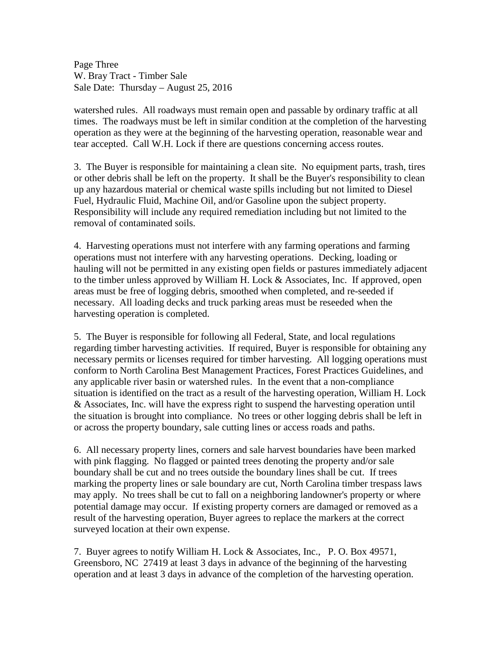Page Three W. Bray Tract - Timber Sale Sale Date: Thursday – August 25, 2016

watershed rules. All roadways must remain open and passable by ordinary traffic at all times. The roadways must be left in similar condition at the completion of the harvesting operation as they were at the beginning of the harvesting operation, reasonable wear and tear accepted. Call W.H. Lock if there are questions concerning access routes.

3. The Buyer is responsible for maintaining a clean site. No equipment parts, trash, tires or other debris shall be left on the property. It shall be the Buyer's responsibility to clean up any hazardous material or chemical waste spills including but not limited to Diesel Fuel, Hydraulic Fluid, Machine Oil, and/or Gasoline upon the subject property. Responsibility will include any required remediation including but not limited to the removal of contaminated soils.

4. Harvesting operations must not interfere with any farming operations and farming operations must not interfere with any harvesting operations. Decking, loading or hauling will not be permitted in any existing open fields or pastures immediately adjacent to the timber unless approved by William H. Lock & Associates, Inc. If approved, open areas must be free of logging debris, smoothed when completed, and re-seeded if necessary. All loading decks and truck parking areas must be reseeded when the harvesting operation is completed.

5. The Buyer is responsible for following all Federal, State, and local regulations regarding timber harvesting activities. If required, Buyer is responsible for obtaining any necessary permits or licenses required for timber harvesting. All logging operations must conform to North Carolina Best Management Practices, Forest Practices Guidelines, and any applicable river basin or watershed rules. In the event that a non-compliance situation is identified on the tract as a result of the harvesting operation, William H. Lock & Associates, Inc. will have the express right to suspend the harvesting operation until the situation is brought into compliance. No trees or other logging debris shall be left in or across the property boundary, sale cutting lines or access roads and paths.

6. All necessary property lines, corners and sale harvest boundaries have been marked with pink flagging. No flagged or painted trees denoting the property and/or sale boundary shall be cut and no trees outside the boundary lines shall be cut. If trees marking the property lines or sale boundary are cut, North Carolina timber trespass laws may apply. No trees shall be cut to fall on a neighboring landowner's property or where potential damage may occur. If existing property corners are damaged or removed as a result of the harvesting operation, Buyer agrees to replace the markers at the correct surveyed location at their own expense.

7. Buyer agrees to notify William H. Lock & Associates, Inc., P. O. Box 49571, Greensboro, NC 27419 at least 3 days in advance of the beginning of the harvesting operation and at least 3 days in advance of the completion of the harvesting operation.